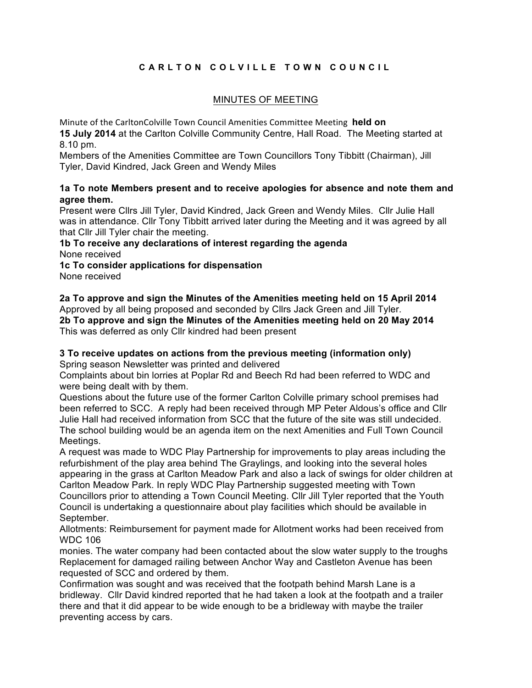## **CARLTON COLVILLE TOWN COUNCIL**

## MINUTES OF MEETING

Minute of the CarltonColville Town Council Amenities Committee Meeting held on **15 July 2014** at the Carlton Colville Community Centre, Hall Road. The Meeting started at 8.10 pm.

Members of the Amenities Committee are Town Councillors Tony Tibbitt (Chairman), Jill Tyler, David Kindred, Jack Green and Wendy Miles

#### **1a To note Members present and to receive apologies for absence and note them and agree them.**

Present were Cllrs Jill Tyler, David Kindred, Jack Green and Wendy Miles. Cllr Julie Hall was in attendance. Cllr Tony Tibbitt arrived later during the Meeting and it was agreed by all that Cllr Jill Tyler chair the meeting.

**1b To receive any declarations of interest regarding the agenda** None received

**1c To consider applications for dispensation**  None received

**2a To approve and sign the Minutes of the Amenities meeting held on 15 April 2014** Approved by all being proposed and seconded by Cllrs Jack Green and Jill Tyler. **2b To approve and sign the Minutes of the Amenities meeting held on 20 May 2014** This was deferred as only Cllr kindred had been present

# **3 To receive updates on actions from the previous meeting (information only)**

Spring season Newsletter was printed and delivered

Complaints about bin lorries at Poplar Rd and Beech Rd had been referred to WDC and were being dealt with by them.

Questions about the future use of the former Carlton Colville primary school premises had been referred to SCC. A reply had been received through MP Peter Aldous's office and Cllr Julie Hall had received information from SCC that the future of the site was still undecided. The school building would be an agenda item on the next Amenities and Full Town Council Meetings.

A request was made to WDC Play Partnership for improvements to play areas including the refurbishment of the play area behind The Graylings, and looking into the several holes appearing in the grass at Carlton Meadow Park and also a lack of swings for older children at Carlton Meadow Park. In reply WDC Play Partnership suggested meeting with Town Councillors prior to attending a Town Council Meeting. Cllr Jill Tyler reported that the Youth Council is undertaking a questionnaire about play facilities which should be available in September.

Allotments: Reimbursement for payment made for Allotment works had been received from WDC 106

monies. The water company had been contacted about the slow water supply to the troughs Replacement for damaged railing between Anchor Way and Castleton Avenue has been requested of SCC and ordered by them.

Confirmation was sought and was received that the footpath behind Marsh Lane is a bridleway. Cllr David kindred reported that he had taken a look at the footpath and a trailer there and that it did appear to be wide enough to be a bridleway with maybe the trailer preventing access by cars.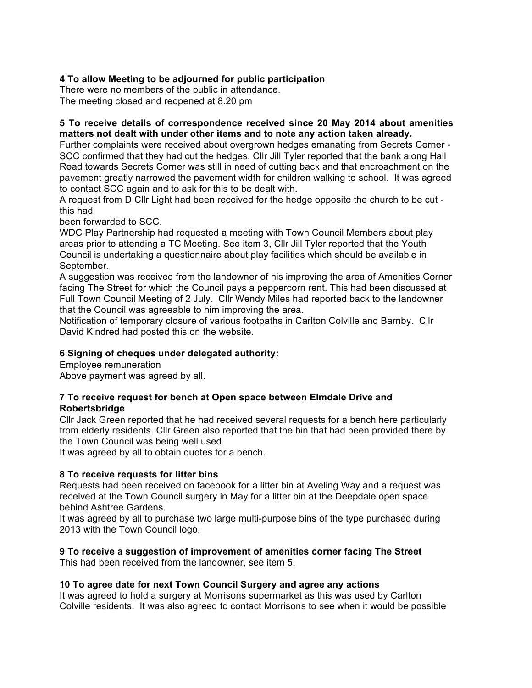## **4 To allow Meeting to be adjourned for public participation**

There were no members of the public in attendance. The meeting closed and reopened at 8.20 pm

#### **5 To receive details of correspondence received since 20 May 2014 about amenities matters not dealt with under other items and to note any action taken already.**

Further complaints were received about overgrown hedges emanating from Secrets Corner - SCC confirmed that they had cut the hedges. Cllr Jill Tyler reported that the bank along Hall Road towards Secrets Corner was still in need of cutting back and that encroachment on the pavement greatly narrowed the pavement width for children walking to school. It was agreed to contact SCC again and to ask for this to be dealt with.

A request from D Cllr Light had been received for the hedge opposite the church to be cut this had

been forwarded to SCC.

WDC Play Partnership had requested a meeting with Town Council Members about play areas prior to attending a TC Meeting. See item 3, Cllr Jill Tyler reported that the Youth Council is undertaking a questionnaire about play facilities which should be available in September.

A suggestion was received from the landowner of his improving the area of Amenities Corner facing The Street for which the Council pays a peppercorn rent. This had been discussed at Full Town Council Meeting of 2 July. Cllr Wendy Miles had reported back to the landowner that the Council was agreeable to him improving the area.

Notification of temporary closure of various footpaths in Carlton Colville and Barnby. Cllr David Kindred had posted this on the website.

# **6 Signing of cheques under delegated authority:**

Employee remuneration

Above payment was agreed by all.

## **7 To receive request for bench at Open space between Elmdale Drive and Robertsbridge**

Cllr Jack Green reported that he had received several requests for a bench here particularly from elderly residents. Cllr Green also reported that the bin that had been provided there by the Town Council was being well used.

It was agreed by all to obtain quotes for a bench.

## **8 To receive requests for litter bins**

Requests had been received on facebook for a litter bin at Aveling Way and a request was received at the Town Council surgery in May for a litter bin at the Deepdale open space behind Ashtree Gardens.

It was agreed by all to purchase two large multi-purpose bins of the type purchased during 2013 with the Town Council logo.

## **9 To receive a suggestion of improvement of amenities corner facing The Street**

This had been received from the landowner, see item 5.

## **10 To agree date for next Town Council Surgery and agree any actions**

It was agreed to hold a surgery at Morrisons supermarket as this was used by Carlton Colville residents. It was also agreed to contact Morrisons to see when it would be possible